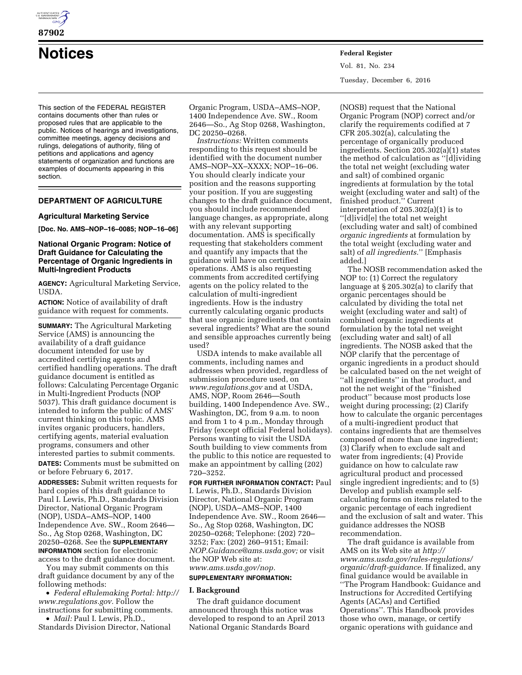

**87902** 

**Notices Federal Register**

This section of the FEDERAL REGISTER contains documents other than rules or proposed rules that are applicable to the public. Notices of hearings and investigations, committee meetings, agency decisions and rulings, delegations of authority, filing of petitions and applications and agency statements of organization and functions are examples of documents appearing in this section.

# **DEPARTMENT OF AGRICULTURE**

## **Agricultural Marketing Service**

**[Doc. No. AMS–NOP–16–0085; NOP–16–06]** 

## **National Organic Program: Notice of Draft Guidance for Calculating the Percentage of Organic Ingredients in Multi-Ingredient Products**

**AGENCY:** Agricultural Marketing Service, USDA.

**ACTION:** Notice of availability of draft guidance with request for comments.

**SUMMARY:** The Agricultural Marketing Service (AMS) is announcing the availability of a draft guidance document intended for use by accredited certifying agents and certified handling operations. The draft guidance document is entitled as follows: Calculating Percentage Organic in Multi-Ingredient Products (NOP 5037). This draft guidance document is intended to inform the public of AMS' current thinking on this topic. AMS invites organic producers, handlers, certifying agents, material evaluation programs, consumers and other interested parties to submit comments.

**DATES:** Comments must be submitted on or before February 6, 2017.

**ADDRESSES:** Submit written requests for hard copies of this draft guidance to Paul I. Lewis, Ph.D., Standards Division Director, National Organic Program (NOP), USDA–AMS–NOP, 1400 Independence Ave. SW., Room 2646— So., Ag Stop 0268, Washington, DC 20250–0268. See the **SUPPLEMENTARY INFORMATION** section for electronic access to the draft guidance document.

You may submit comments on this draft guidance document by any of the following methods:

• *Federal eRulemaking Portal: [http://](http://www.regulations.gov)  [www.regulations.gov.](http://www.regulations.gov)* Follow the instructions for submitting comments.

• *Mail:* Paul I. Lewis, Ph.D., Standards Division Director, National Organic Program, USDA–AMS–NOP, 1400 Independence Ave. SW., Room 2646—So., Ag Stop 0268, Washington, DC 20250–0268.

*Instructions:* Written comments responding to this request should be identified with the document number AMS–NOP–XX–XXXX; NOP–16–06. You should clearly indicate your position and the reasons supporting your position. If you are suggesting changes to the draft guidance document, you should include recommended language changes, as appropriate, along with any relevant supporting documentation. AMS is specifically requesting that stakeholders comment and quantify any impacts that the guidance will have on certified operations. AMS is also requesting comments from accredited certifying agents on the policy related to the calculation of multi-ingredient ingredients. How is the industry currently calculating organic products that use organic ingredients that contain several ingredients? What are the sound and sensible approaches currently being used?

USDA intends to make available all comments, including names and addresses when provided, regardless of submission procedure used, on *[www.regulations.gov](http://www.regulations.gov)* and at USDA, AMS, NOP, Room 2646—South building, 1400 Independence Ave. SW., Washington, DC, from 9 a.m. to noon and from 1 to 4 p.m., Monday through Friday (except official Federal holidays). Persons wanting to visit the USDA South building to view comments from the public to this notice are requested to make an appointment by calling (202) 720–3252.

**FOR FURTHER INFORMATION CONTACT:** Paul I. Lewis, Ph.D., Standards Division Director, National Organic Program (NOP), USDA–AMS–NOP, 1400 Independence Ave. SW., Room 2646— So., Ag Stop 0268, Washington, DC 20250–0268; Telephone: (202) 720– 3252; Fax: (202) 260–9151; Email: *[NOP.Guidance@ams.usda.gov;](mailto:NOP.Guidance@ams.usda.gov)* or visit the NOP Web site at: *[www.ams.usda.gov/nop.](http://www.ams.usda.gov/nop)* 

# **SUPPLEMENTARY INFORMATION:**

#### **I. Background**

The draft guidance document announced through this notice was developed to respond to an April 2013 National Organic Standards Board

Vol. 81, No. 234 Tuesday, December 6, 2016

(NOSB) request that the National Organic Program (NOP) correct and/or clarify the requirements codified at 7 CFR 205.302(a), calculating the percentage of organically produced ingredients. Section 205.302(a)(1) states the method of calculation as ''[d]ividing the total net weight (excluding water and salt) of combined organic ingredients at formulation by the total weight (excluding water and salt) of the finished product.'' Current interpretation of 205.302(a)(1) is to ''[d]ivid[e] the total net weight (excluding water and salt) of combined *organic ingredients* at formulation by the total weight (excluding water and salt) of *all ingredients.*'' [Emphasis added.]

The NOSB recommendation asked the NOP to: (1) Correct the regulatory language at § 205.302(a) to clarify that organic percentages should be calculated by dividing the total net weight (excluding water and salt) of combined organic ingredients at formulation by the total net weight (excluding water and salt) of all ingredients. The NOSB asked that the NOP clarify that the percentage of organic ingredients in a product should be calculated based on the net weight of ''all ingredients'' in that product, and not the net weight of the ''finished product'' because most products lose weight during processing; (2) Clarify how to calculate the organic percentages of a multi-ingredient product that contains ingredients that are themselves composed of more than one ingredient; (3) Clarify when to exclude salt and water from ingredients; (4) Provide guidance on how to calculate raw agricultural product and processed single ingredient ingredients; and to (5) Develop and publish example selfcalculating forms on items related to the organic percentage of each ingredient and the exclusion of salt and water. This guidance addresses the NOSB recommendation.

The draft guidance is available from AMS on its Web site at *[http://](http://www.ams.usda.gov/rules-regulations/organic/draft-guidance) [www.ams.usda.gov/rules-regulations/](http://www.ams.usda.gov/rules-regulations/organic/draft-guidance)  [organic/draft-guidance.](http://www.ams.usda.gov/rules-regulations/organic/draft-guidance)* If finalized, any final guidance would be available in ''The Program Handbook: Guidance and Instructions for Accredited Certifying Agents (ACAs) and Certified Operations''. This Handbook provides those who own, manage, or certify organic operations with guidance and